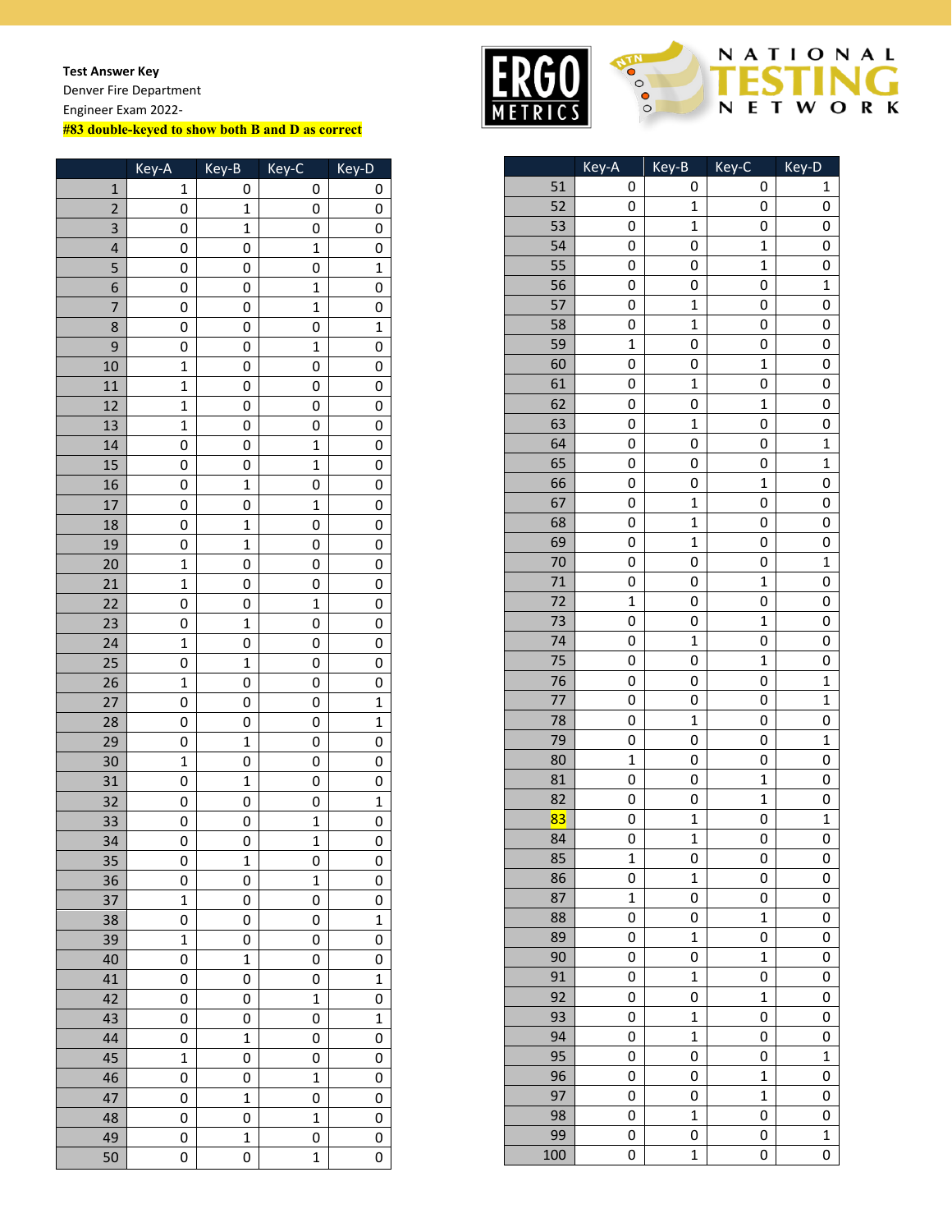**Test Answer Key**

Denver Fire Department Engineer Exam 2022-

## **#83 double-keyed to show both B and D as correct**

|                         | Key-A          | Key-B          | Key-C        | Key-D          |
|-------------------------|----------------|----------------|--------------|----------------|
| $\mathbf{1}$            | 1              | 0              | 0            | 0              |
| $\overline{2}$          | 0              | $\mathbf 1$    | 0            | 0              |
| 3                       | 0              | $\mathbf 1$    | 0            | 0              |
| $\overline{\mathbf{4}}$ | 0              | 0              | $\mathbf{1}$ | 0              |
| 5                       | 0              | 0              | 0            | $\mathbf 1$    |
| 6                       | 0              | 0              | $\mathbf 1$  | 0              |
| 7                       | 0              | 0              | $\mathbf 1$  | 0              |
| 8                       | 0              | 0              | 0            | $\mathbf 1$    |
| 9                       | 0              | 0              | $\mathbf 1$  | 0              |
| 10                      | $\mathbf{1}$   | 0              | 0            | 0              |
| 11                      | $\mathbf{1}$   | 0              | 0            | 0              |
| 12                      | $\mathbf{1}$   | 0              | 0            | 0              |
| 13                      | $\mathbf{1}$   | 0              | 0            | 0              |
| 14                      | 0              | 0              | $\mathbf{1}$ | 0              |
| 15                      | 0              | 0              | $\mathbf{1}$ | 0              |
| 16                      | 0              | $\mathbf 1$    | 0            | 0              |
| 17                      | 0              | 0              | $\mathbf{1}$ | 0              |
| 18                      | 0              | $\mathbf{1}$   | 0            | 0              |
| 19                      | 0              | $\mathbf 1$    | 0            | 0              |
| 20                      | $\mathbf{1}$   | 0              | 0            | 0              |
| 21                      | $\mathbf{1}$   | 0              | 0            | 0              |
| 22                      | 0              | 0              | $\mathbf 1$  | 0              |
| 23                      | 0              | 1              | 0            | 0              |
| 24                      | $\mathbf 1$    | 0              | 0            | 0              |
| 25                      | 0              | $\mathbf 1$    | 0            | 0              |
| 26                      | $\mathbf 1$    | 0              | 0            | 0              |
| $\overline{27}$         | 0              | 0              | 0            | $\overline{1}$ |
| 28                      | 0              | 0              | 0            | $\overline{1}$ |
| 29                      | 0              | $\mathbf{1}$   | 0            | 0              |
| 30                      | $\mathbf{1}$   | 0              | 0            | 0              |
| 31                      | 0              | $\mathbf 1$    | 0            | 0              |
| 32                      | 0              | 0              | 0            | $\mathbf 1$    |
| 33                      | 0              | 0              | $\mathbf 1$  | 0              |
| 34                      | 0              | 0              | $\mathbf{1}$ | 0              |
| 35                      | $\overline{0}$ | $\mathbf{1}$   | 0            | 0              |
| 36                      | 0              | 0              | 1            | 0              |
| 37                      | $\mathbf 1$    | 0              | 0            | 0              |
| 38                      | 0              | 0              | 0            | $\mathbf 1$    |
| 39                      | $\mathbf{1}$   | 0              | 0            | 0              |
| 40                      | 0              | $\mathbf 1$    | 0            | 0              |
| 41                      | 0              | 0              | 0            | $\mathbf 1$    |
| 42                      | 0              | 0              | $\mathbf{1}$ | 0              |
| 43                      | 0              | 0              | 0            | $\mathbf 1$    |
| 44                      | 0              | $\overline{1}$ | 0            | 0              |
| 45                      | $\mathbf{1}$   | 0              | 0            | 0              |
| 46                      | 0              | 0              | $\mathbf 1$  | 0              |
| 47                      | 0              | $\mathbf 1$    | 0            | 0              |
| 48                      | 0              | 0              | $\mathbf 1$  | 0              |
| 49                      | 0              | $\mathbf 1$    | 0            | 0              |
|                         |                | 0              | $\mathbf{1}$ | 0              |
| 50                      | 0              |                |              |                |



## NATIONAL ń NETWORK

|     | Key-A             | Key-B            | Key-C        | Key-D        |
|-----|-------------------|------------------|--------------|--------------|
| 51  | 0                 | 0                | 0            | 1            |
| 52  | 0                 | 1                | 0            | 0            |
| 53  | 0                 | $\mathbf 1$      | 0            | 0            |
| 54  | 0                 | 0                | $\mathbf{1}$ | 0            |
| 55  | 0                 | 0                | $\mathbf{1}$ | 0            |
| 56  | 0                 | 0                | 0            | $\mathbf 1$  |
| 57  | 0                 | $\mathbf{1}$     | 0            | 0            |
| 58  | 0                 | 1                | 0            | 0            |
| 59  | $\mathbf{1}$      | 0                | 0            | 0            |
| 60  | 0                 | 0                | $\mathbf{1}$ | 0            |
| 61  | 0                 | $\mathbf 1$      | 0            | 0            |
| 62  | 0                 | 0                | $\mathbf{1}$ | 0            |
| 63  | 0                 | $\mathbf{1}$     | 0            | 0            |
| 64  | 0                 | 0                | 0            | $\mathbf 1$  |
| 65  | 0                 | 0                | 0            | $\mathbf 1$  |
| 66  | 0                 | 0                | $\mathbf{1}$ | 0            |
| 67  | 0                 | $\mathbf{1}$     | 0            | 0            |
| 68  | 0                 | $\mathbf{1}$     | 0            | 0            |
| 69  | 0                 | $\mathbf 1$      | 0            | 0            |
| 70  | 0                 | 0                | 0            | 1            |
| 71  | 0                 | 0                | $\mathbf{1}$ | 0            |
| 72  | $\mathbf{1}$      | 0                | 0            | 0            |
| 73  | 0                 | 0                | $\mathbf{1}$ | 0            |
| 74  | 0                 | $\mathbf{1}$     | 0            | 0            |
| 75  | 0                 | 0                | $\mathbf{1}$ | 0            |
| 76  | 0                 | 0                | 0            | $\mathbf 1$  |
| 77  | 0                 | 0                | 0            | $\mathbf{1}$ |
| 78  | 0                 | $\mathbf{1}$     | 0            | 0            |
| 79  | 0                 | 0                | 0            | $\mathbf 1$  |
| 80  | $\mathbf{1}$      | 0                | 0            | 0            |
| 81  | 0                 | 0                | $\mathbf{1}$ | 0            |
| 82  | 0                 | 0                | $\mathbf{1}$ | 0            |
| 83  |                   | $\mathbf 1$      |              | $\mathbf 1$  |
| 84  | 0<br>0            | $\mathbf 1$      | 0<br>0       | 0            |
| 85  |                   |                  |              |              |
|     | $\mathbf{1}$      | 0<br>$\mathbf 1$ | 0            | $\mathbf{0}$ |
| 86  | 0<br>$\mathbf{1}$ | 0                | 0            | 0            |
| 87  |                   |                  | 0            | 0            |
| 88  | 0                 | 0                | $\mathbf 1$  | 0            |
| 89  | 0                 | $\mathbf 1$      | 0            | 0            |
| 90  | 0                 | 0                | $\mathbf{1}$ | 0            |
| 91  | 0                 | $\mathbf{1}$     | 0            | 0            |
| 92  | 0                 | 0                | $\mathbf{1}$ | 0            |
| 93  | 0                 | $\mathbf 1$      | 0            | 0            |
| 94  | 0                 | $\mathbf{1}$     | 0            | 0            |
| 95  | 0                 | 0                | 0            | $\mathbf 1$  |
| 96  | 0                 | 0                | $\mathbf{1}$ | 0            |
| 97  | 0                 | 0                | $\mathbf{1}$ | 0            |
| 98  | 0                 | $\mathbf{1}$     | 0            | 0            |
| 99  | 0                 | 0                | 0            | $\mathbf 1$  |
| 100 | 0                 | $\overline{1}$   | 0            | 0            |